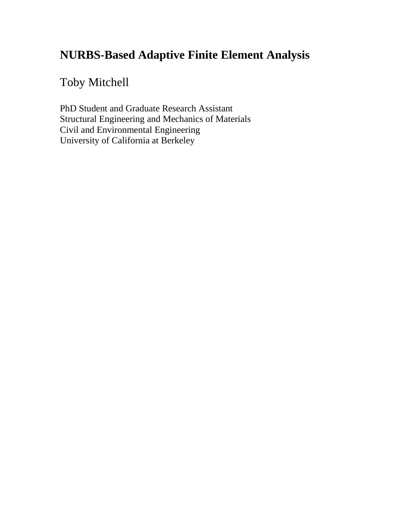# **NURBS-Based Adaptive Finite Element Analysis**

# Toby Mitchell

PhD Student and Graduate Research Assistant Structural Engineering and Mechanics of Materials Civil and Environmental Engineering University of California at Berkeley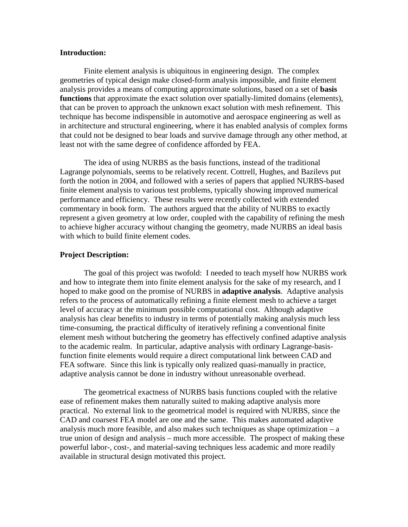### **Introduction:**

Finite element analysis is ubiquitous in engineering design. The complex geometries of typical design make closed-form analysis impossible, and finite element analysis provides a means of computing approximate solutions, based on a set of **basis functions** that approximate the exact solution over spatially-limited domains (elements), that can be proven to approach the unknown exact solution with mesh refinement. This technique has become indispensible in automotive and aerospace engineering as well as in architecture and structural engineering, where it has enabled analysis of complex forms that could not be designed to bear loads and survive damage through any other method, at least not with the same degree of confidence afforded by FEA.

The idea of using NURBS as the basis functions, instead of the traditional Lagrange polynomials, seems to be relatively recent. Cottrell, Hughes, and Bazilevs put forth the notion in 2004, and followed with a series of papers that applied NURBS-based finite element analysis to various test problems, typically showing improved numerical performance and efficiency. These results were recently collected with extended commentary in book form. The authors argued that the ability of NURBS to exactly represent a given geometry at low order, coupled with the capability of refining the mesh to achieve higher accuracy without changing the geometry, made NURBS an ideal basis with which to build finite element codes.

#### **Project Description:**

The goal of this project was twofold: I needed to teach myself how NURBS work and how to integrate them into finite element analysis for the sake of my research, and I hoped to make good on the promise of NURBS in **adaptive analysis**. Adaptive analysis refers to the process of automatically refining a finite element mesh to achieve a target level of accuracy at the minimum possible computational cost. Although adaptive analysis has clear benefits to industry in terms of potentially making analysis much less time-consuming, the practical difficulty of iteratively refining a conventional finite element mesh without butchering the geometry has effectively confined adaptive analysis to the academic realm. In particular, adaptive analysis with ordinary Lagrange-basisfunction finite elements would require a direct computational link between CAD and FEA software. Since this link is typically only realized quasi-manually in practice, adaptive analysis cannot be done in industry without unreasonable overhead.

The geometrical exactness of NURBS basis functions coupled with the relative ease of refinement makes them naturally suited to making adaptive analysis more practical. No external link to the geometrical model is required with NURBS, since the CAD and coarsest FEA model are one and the same. This makes automated adaptive analysis much more feasible, and also makes such techniques as shape optimization  $-a$ true union of design and analysis – much more accessible. The prospect of making these powerful labor-, cost-, and material-saving techniques less academic and more readily available in structural design motivated this project.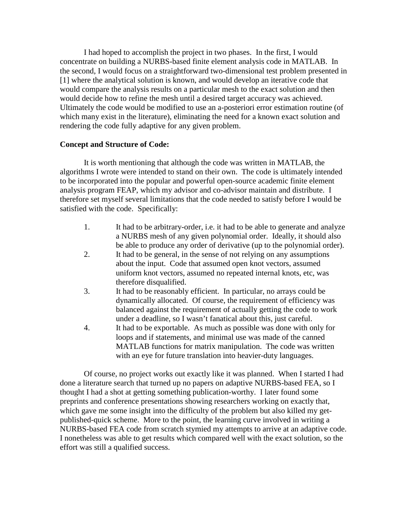I had hoped to accomplish the project in two phases. In the first, I would concentrate on building a NURBS-based finite element analysis code in MATLAB. In the second, I would focus on a straightforward two-dimensional test problem presented in [1] where the analytical solution is known, and would develop an iterative code that would compare the analysis results on a particular mesh to the exact solution and then would decide how to refine the mesh until a desired target accuracy was achieved. Ultimately the code would be modified to use an a-posteriori error estimation routine (of which many exist in the literature), eliminating the need for a known exact solution and rendering the code fully adaptive for any given problem.

## **Concept and Structure of Code:**

It is worth mentioning that although the code was written in MATLAB, the algorithms I wrote were intended to stand on their own. The code is ultimately intended to be incorporated into the popular and powerful open-source academic finite element analysis program FEAP, which my advisor and co-advisor maintain and distribute. I therefore set myself several limitations that the code needed to satisfy before I would be satisfied with the code. Specifically:

- 1. It had to be arbitrary-order, i.e. it had to be able to generate and analyze a NURBS mesh of any given polynomial order. Ideally, it should also be able to produce any order of derivative (up to the polynomial order).
- 2. It had to be general, in the sense of not relying on any assumptions about the input. Code that assumed open knot vectors, assumed uniform knot vectors, assumed no repeated internal knots, etc, was therefore disqualified.
- 3. It had to be reasonably efficient. In particular, no arrays could be dynamically allocated. Of course, the requirement of efficiency was balanced against the requirement of actually getting the code to work under a deadline, so I wasn't fanatical about this, just careful.
- 4. It had to be exportable. As much as possible was done with only for loops and if statements, and minimal use was made of the canned MATLAB functions for matrix manipulation. The code was written with an eye for future translation into heavier-duty languages.

Of course, no project works out exactly like it was planned. When I started I had done a literature search that turned up no papers on adaptive NURBS-based FEA, so I thought I had a shot at getting something publication-worthy. I later found some preprints and conference presentations showing researchers working on exactly that, which gave me some insight into the difficulty of the problem but also killed my getpublished-quick scheme. More to the point, the learning curve involved in writing a NURBS-based FEA code from scratch stymied my attempts to arrive at an adaptive code. I nonetheless was able to get results which compared well with the exact solution, so the effort was still a qualified success.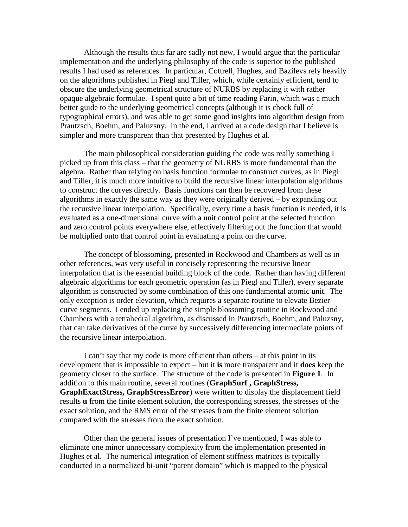Although the results thus far are sadly not new, I would argue that the particular implementation and the underlying philosophy of the code is superior to the published results I had used as references. In particular, Cottrell, Hughes, and Bazilevs rely heavily on the algorithms published in Piegl and Tiller, which, while certainly efficient, tend to obscure the underlying geometrical structure of NURBS by replacing it with rather opaque algebraic formulae. I spent quite a bit of time reading Farin, which was a much better guide to the underlying geometrical concepts (although it is chock full of typographical errors), and was able to get some good insights into algorithm design from Prautzsch, Boehm, and Paluzsny. In the end, I arrived at a code design that I believe is simpler and more transparent than that presented by Hughes et al.

The main philosophical consideration guiding the code was really something I picked up from this class – that the geometry of NURBS is more fundamental than the algebra. Rather than relying on basis function formulae to construct curves, as in Piegl and Tiller, it is much more intuitive to build the recursive linear interpolation algorithms to construct the curves directly. Basis functions can then be recovered from these algorithms in exactly the same way as they were originally derived – by expanding out the recursive linear interpolation. Specifically, every time a basis function is needed, it is evaluated as a one-dimensional curve with a unit control point at the selected function and zero control points everywhere else, effectively filtering out the function that would be multiplied onto that control point in evaluating a point on the curve.

The concept of blossoming, presented in Rockwood and Chambers as well as in other references, was very useful in concisely representing the recursive linear interpolation that is the essential building block of the code. Rather than having different algebraic algorithms for each geometric operation (as in Piegl and Tiller), every separate algorithm is constructed by some combination of this one fundamental atomic unit. The only exception is order elevation, which requires a separate routine to elevate Bezier curve segments. I ended up replacing the simple blossoming routine in Rockwood and Chambers with a tetrahedral algorithm, as discussed in Prautzsch, Boehm, and Paluzsny, that can take derivatives of the curve by successively differencing intermediate points of the recursive linear interpolation.

I can't say that my code is more efficient than others – at this point in its development that is impossible to expect – but it **is** more transparent and it **does** keep the geometry closer to the surface. The structure of the code is presented in **Figure 1**. In addition to this main routine, several routines (**GraphSurf , GraphStress, GraphExactStress, GraphStressError**) were written to display the displacement field results **u** from the finite element solution, the corresponding stresses, the stresses of the exact solution, and the RMS error of the stresses from the finite element solution compared with the stresses from the exact solution.

Other than the general issues of presentation I've mentioned, I was able to eliminate one minor unnecessary complexity from the implementation presented in Hughes et al. The numerical integration of element stiffness matrices is typically conducted in a normalized bi-unit "parent domain" which is mapped to the physical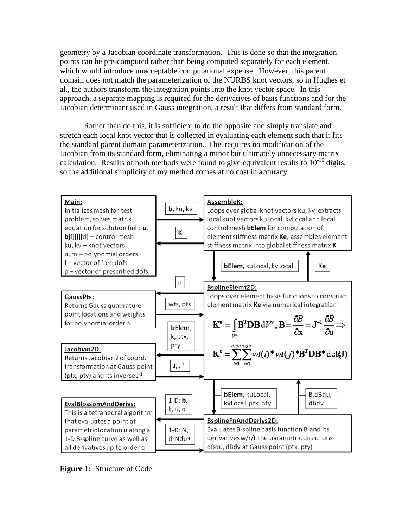geometry by a Jacobian coordinate transformation. This is done so that the integration points can be pre-computed rather than being computed separately for each element, which would introduce unacceptable computational expense. However, this parent domain does not match the parameterization of the NURBS knot vectors, so in Hughes et al., the authors transform the integration points into the knot vector space. In this approach, a separate mapping is required for the derivatives of basis functions and for the Jacobian determinant used in Gauss integration, a result that differs from standard form.

Rather than do this, it is sufficient to do the opposite and simply translate and stretch each local knot vector that is collected in evaluating each element such that it fits the standard parent domain parameterization. This requires no modification of the Jacobian from its standard form, eliminating a minor but ultimately unnecessary matrix calculation. Results of both methods were found to give equivalent results to  $10^{-10}$  digits, so the additional simplicity of my method comes at no cost in accuracy.



**Figure 1:** Structure of Code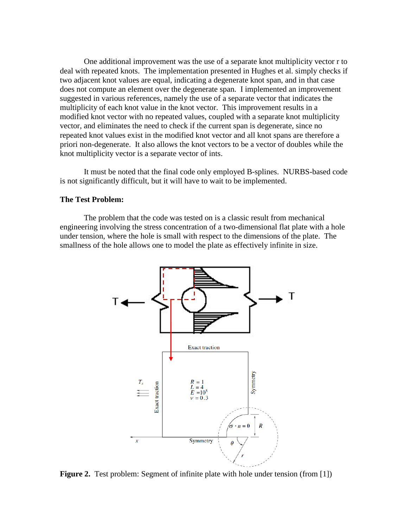One additional improvement was the use of a separate knot multiplicity vector r to deal with repeated knots. The implementation presented in Hughes et al. simply checks if two adjacent knot values are equal, indicating a degenerate knot span, and in that case does not compute an element over the degenerate span. I implemented an improvement suggested in various references, namely the use of a separate vector that indicates the multiplicity of each knot value in the knot vector. This improvement results in a modified knot vector with no repeated values, coupled with a separate knot multiplicity vector, and eliminates the need to check if the current span is degenerate, since no repeated knot values exist in the modified knot vector and all knot spans are therefore a priori non-degenerate. It also allows the knot vectors to be a vector of doubles while the knot multiplicity vector is a separate vector of ints.

It must be noted that the final code only employed B-splines. NURBS-based code is not significantly difficult, but it will have to wait to be implemented.

### **The Test Problem:**

The problem that the code was tested on is a classic result from mechanical engineering involving the stress concentration of a two-dimensional flat plate with a hole under tension, where the hole is small with respect to the dimensions of the plate. The smallness of the hole allows one to model the plate as effectively infinite in size.



**Figure 2.** Test problem: Segment of infinite plate with hole under tension (from [1])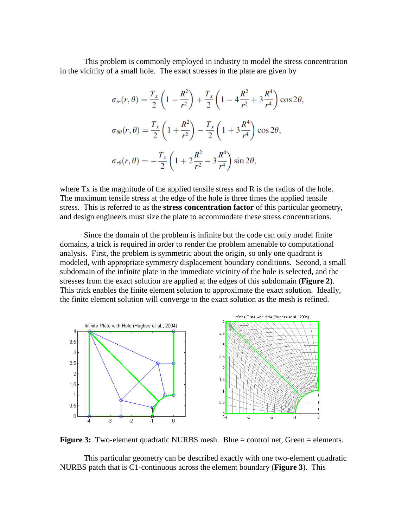This problem is commonly employed in industry to model the stress concentration in the vicinity of a small hole. The exact stresses in the plate are given by

$$
\sigma_{rr}(r,\theta) = \frac{T_x}{2} \left( 1 - \frac{R^2}{r^2} \right) + \frac{T_x}{2} \left( 1 - 4\frac{R^2}{r^2} + 3\frac{R^4}{r^4} \right) \cos 2\theta,
$$
  

$$
\sigma_{\theta\theta}(r,\theta) = \frac{T_x}{2} \left( 1 + \frac{R^2}{r^2} \right) - \frac{T_x}{2} \left( 1 + 3\frac{R^4}{r^4} \right) \cos 2\theta,
$$
  

$$
\sigma_{r\theta}(r,\theta) = -\frac{T_x}{2} \left( 1 + 2\frac{R^2}{r^2} - 3\frac{R^4}{r^4} \right) \sin 2\theta,
$$

where Tx is the magnitude of the applied tensile stress and R is the radius of the hole. The maximum tensile stress at the edge of the hole is three times the applied tensile stress. This is referred to as the **stress concentration factor** of this particular geometry, and design engineers must size the plate to accommodate these stress concentrations.

Since the domain of the problem is infinite but the code can only model finite domains, a trick is required in order to render the problem amenable to computational analysis. First, the problem is symmetric about the origin, so only one quadrant is modeled, with appropriate symmetry displacement boundary conditions. Second, a small subdomain of the infinite plate in the immediate vicinity of the hole is selected, and the stresses from the exact solution are applied at the edges of this subdomain (**Figure 2**). This trick enables the finite element solution to approximate the exact solution. Ideally, the finite element solution will converge to the exact solution as the mesh is refined.



**Figure 3:** Two-element quadratic NURBS mesh. Blue = control net, Green = elements.

This particular geometry can be described exactly with one two-element quadratic NURBS patch that is C1-continuous across the element boundary (**Figure 3**). This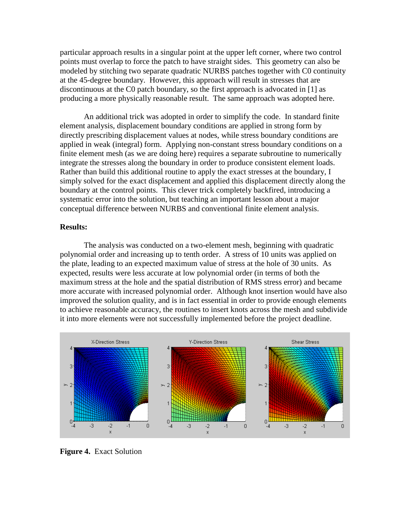particular approach results in a singular point at the upper left corner, where two control points must overlap to force the patch to have straight sides. This geometry can also be modeled by stitching two separate quadratic NURBS patches together with C0 continuity at the 45-degree boundary. However, this approach will result in stresses that are discontinuous at the C0 patch boundary, so the first approach is advocated in [1] as producing a more physically reasonable result. The same approach was adopted here.

An additional trick was adopted in order to simplify the code. In standard finite element analysis, displacement boundary conditions are applied in strong form by directly prescribing displacement values at nodes, while stress boundary conditions are applied in weak (integral) form. Applying non-constant stress boundary conditions on a finite element mesh (as we are doing here) requires a separate subroutine to numerically integrate the stresses along the boundary in order to produce consistent element loads. Rather than build this additional routine to apply the exact stresses at the boundary, I simply solved for the exact displacement and applied this displacement directly along the boundary at the control points. This clever trick completely backfired, introducing a systematic error into the solution, but teaching an important lesson about a major conceptual difference between NURBS and conventional finite element analysis.

#### **Results:**

The analysis was conducted on a two-element mesh, beginning with quadratic polynomial order and increasing up to tenth order. A stress of 10 units was applied on the plate, leading to an expected maximum value of stress at the hole of 30 units. As expected, results were less accurate at low polynomial order (in terms of both the maximum stress at the hole and the spatial distribution of RMS stress error) and became more accurate with increased polynomial order. Although knot insertion would have also improved the solution quality, and is in fact essential in order to provide enough elements to achieve reasonable accuracy, the routines to insert knots across the mesh and subdivide it into more elements were not successfully implemented before the project deadline.



**Figure 4.** Exact Solution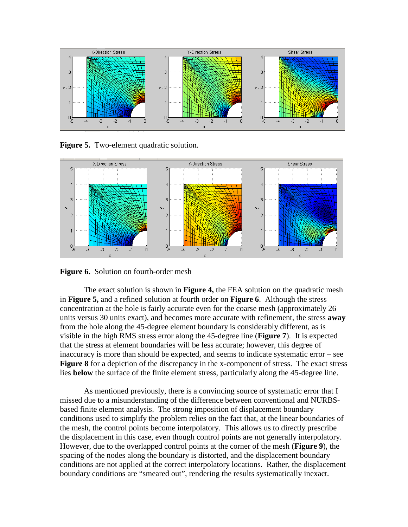

**Figure 5.** Two-element quadratic solution.



**Figure 6.** Solution on fourth-order mesh

The exact solution is shown in **Figure 4,** the FEA solution on the quadratic mesh in **Figure 5,** and a refined solution at fourth order on **Figure 6**. Although the stress concentration at the hole is fairly accurate even for the coarse mesh (approximately 26 units versus 30 units exact), and becomes more accurate with refinement, the stress **away** from the hole along the 45-degree element boundary is considerably different, as is visible in the high RMS stress error along the 45-degree line (**Figure 7**). It is expected that the stress at element boundaries will be less accurate; however, this degree of inaccuracy is more than should be expected, and seems to indicate systematic error – see **Figure 8** for a depiction of the discrepancy in the x-component of stress. The exact stress lies **below** the surface of the finite element stress, particularly along the 45-degree line.

As mentioned previously, there is a convincing source of systematic error that I missed due to a misunderstanding of the difference between conventional and NURBSbased finite element analysis. The strong imposition of displacement boundary conditions used to simplify the problem relies on the fact that, at the linear boundaries of the mesh, the control points become interpolatory. This allows us to directly prescribe the displacement in this case, even though control points are not generally interpolatory. However, due to the overlapped control points at the corner of the mesh (**Figure 9**), the spacing of the nodes along the boundary is distorted, and the displacement boundary conditions are not applied at the correct interpolatory locations. Rather, the displacement boundary conditions are "smeared out", rendering the results systematically inexact.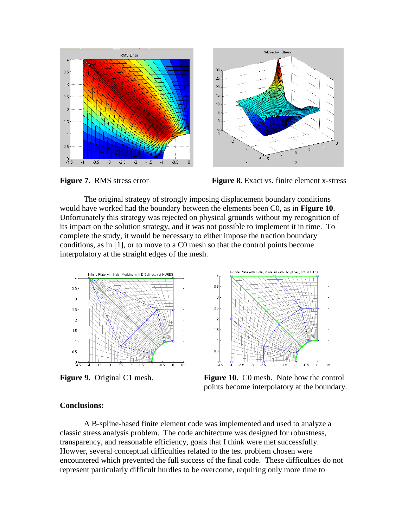





The original strategy of strongly imposing displacement boundary conditions would have worked had the boundary between the elements been C0, as in **Figure 10**. Unfortunately this strategy was rejected on physical grounds without my recognition of its impact on the solution strategy, and it was not possible to implement it in time. To complete the study, it would be necessary to either impose the traction boundary conditions, as in [1], or to move to a C0 mesh so that the control points become interpolatory at the straight edges of the mesh.





**Figure 9.** Original C1 mesh. **Figure 10.** C0 mesh. Note how the control points become interpolatory at the boundary.

## **Conclusions:**

A B-spline-based finite element code was implemented and used to analyze a classic stress analysis problem. The code architecture was designed for robustness, transparency, and reasonable efficiency, goals that I think were met successfully. Howver, several conceptual difficulties related to the test problem chosen were encountered which prevented the full success of the final code. These difficulties do not represent particularly difficult hurdles to be overcome, requiring only more time to